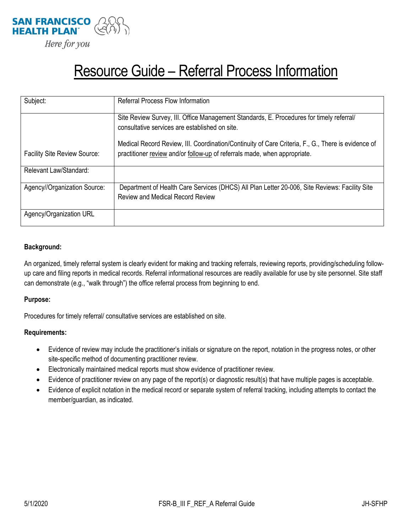

# Resource Guide – Referral Process Information

| Subject:                            | <b>Referral Process Flow Information</b>                                                           |
|-------------------------------------|----------------------------------------------------------------------------------------------------|
|                                     |                                                                                                    |
|                                     | Site Review Survey, III. Office Management Standards, E. Procedures for timely referral/           |
|                                     | consultative services are established on site.                                                     |
|                                     | Medical Record Review, III. Coordination/Continuity of Care Criteria, F., G., There is evidence of |
| <b>Facility Site Review Source:</b> | practitioner review and/or follow-up of referrals made, when appropriate.                          |
| Relevant Law/Standard:              |                                                                                                    |
| Agency//Organization Source:        | Department of Health Care Services (DHCS) All Plan Letter 20-006, Site Reviews: Facility Site      |
|                                     | <b>Review and Medical Record Review</b>                                                            |
|                                     |                                                                                                    |
| Agency/Organization URL             |                                                                                                    |

#### **Background:**

An organized, timely referral system is clearly evident for making and tracking referrals, reviewing reports, providing/scheduling followup care and filing reports in medical records. Referral informational resources are readily available for use by site personnel. Site staff can demonstrate (e.g., "walk through") the office referral process from beginning to end.

#### **Purpose:**

Procedures for timely referral/ consultative services are established on site.

#### **Requirements:**

- Evidence of review may include the practitioner's initials or signature on the report, notation in the progress notes, or other site-specific method of documenting practitioner review.
- Electronically maintained medical reports must show evidence of practitioner review.
- Evidence of practitioner review on any page of the report(s) or diagnostic result(s) that have multiple pages is acceptable.
- Evidence of explicit notation in the medical record or separate system of referral tracking, including attempts to contact the member/guardian, as indicated.